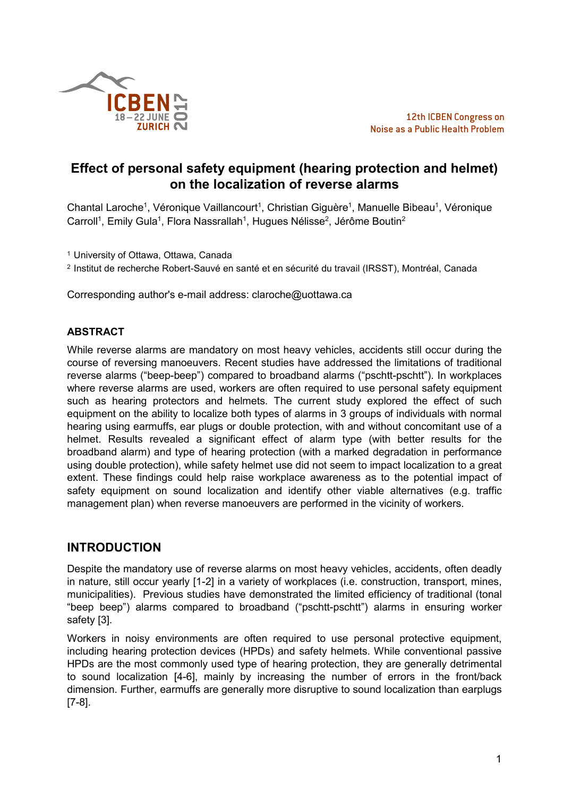

# **Effect of personal safety equipment (hearing protection and helmet) on the localization of reverse alarms**

Chantal Laroche<sup>1</sup>, Véronique Vaillancourt<sup>1</sup>, Christian Giguère<sup>1</sup>, Manuelle Bibeau<sup>1</sup>, Véronique Carroll<sup>1</sup>, Emily Gula<sup>1</sup>, Flora Nassrallah<sup>1</sup>, Hugues Nélisse<sup>2</sup>, Jérôme Boutin<sup>2</sup>

<sup>1</sup> University of Ottawa, Ottawa, Canada

<sup>2</sup> Institut de recherche Robert-Sauvé en santé et en sécurité du travail (IRSST), Montréal, Canada

Corresponding author's e-mail address: claroche@uottawa.ca

#### **ABSTRACT**

While reverse alarms are mandatory on most heavy vehicles, accidents still occur during the course of reversing manoeuvers. Recent studies have addressed the limitations of traditional reverse alarms ("beep-beep") compared to broadband alarms ("pschtt-pschtt"). In workplaces where reverse alarms are used, workers are often required to use personal safety equipment such as hearing protectors and helmets. The current study explored the effect of such equipment on the ability to localize both types of alarms in 3 groups of individuals with normal hearing using earmuffs, ear plugs or double protection, with and without concomitant use of a helmet. Results revealed a significant effect of alarm type (with better results for the broadband alarm) and type of hearing protection (with a marked degradation in performance using double protection), while safety helmet use did not seem to impact localization to a great extent. These findings could help raise workplace awareness as to the potential impact of safety equipment on sound localization and identify other viable alternatives (e.g. traffic management plan) when reverse manoeuvers are performed in the vicinity of workers.

## **INTRODUCTION**

Despite the mandatory use of reverse alarms on most heavy vehicles, accidents, often deadly in nature, still occur yearly [1-2] in a variety of workplaces (i.e. construction, transport, mines, municipalities). Previous studies have demonstrated the limited efficiency of traditional (tonal "beep beep") alarms compared to broadband ("pschtt-pschtt") alarms in ensuring worker safety [3].

Workers in noisy environments are often required to use personal protective equipment, including hearing protection devices (HPDs) and safety helmets. While conventional passive HPDs are the most commonly used type of hearing protection, they are generally detrimental to sound localization [4-6], mainly by increasing the number of errors in the front/back dimension. Further, earmuffs are generally more disruptive to sound localization than earplugs [7-8].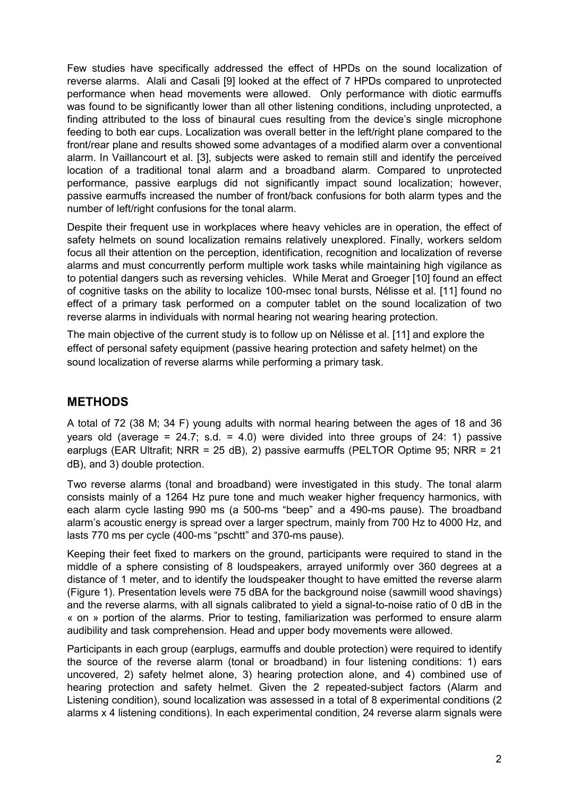Few studies have specifically addressed the effect of HPDs on the sound localization of reverse alarms. Alali and Casali [9] looked at the effect of 7 HPDs compared to unprotected performance when head movements were allowed. Only performance with diotic earmuffs was found to be significantly lower than all other listening conditions, including unprotected, a finding attributed to the loss of binaural cues resulting from the device's single microphone feeding to both ear cups. Localization was overall better in the left/right plane compared to the front/rear plane and results showed some advantages of a modified alarm over a conventional alarm. In Vaillancourt et al. [3], subjects were asked to remain still and identify the perceived location of a traditional tonal alarm and a broadband alarm. Compared to unprotected performance, passive earplugs did not significantly impact sound localization; however, passive earmuffs increased the number of front/back confusions for both alarm types and the number of left/right confusions for the tonal alarm.

Despite their frequent use in workplaces where heavy vehicles are in operation, the effect of safety helmets on sound localization remains relatively unexplored. Finally, workers seldom focus all their attention on the perception, identification, recognition and localization of reverse alarms and must concurrently perform multiple work tasks while maintaining high vigilance as to potential dangers such as reversing vehicles. While Merat and Groeger [10] found an effect of cognitive tasks on the ability to localize 100-msec tonal bursts, Nélisse et al. [11] found no effect of a primary task performed on a computer tablet on the sound localization of two reverse alarms in individuals with normal hearing not wearing hearing protection.

The main objective of the current study is to follow up on Nélisse et al. [11] and explore the effect of personal safety equipment (passive hearing protection and safety helmet) on the sound localization of reverse alarms while performing a primary task.

# **METHODS**

A total of 72 (38 M; 34 F) young adults with normal hearing between the ages of 18 and 36 years old (average =  $24.7$ ; s.d. =  $4.0$ ) were divided into three groups of  $24$ : 1) passive earplugs (EAR Ultrafit; NRR = 25 dB), 2) passive earmuffs (PELTOR Optime 95; NRR = 21 dB), and 3) double protection.

Two reverse alarms (tonal and broadband) were investigated in this study. The tonal alarm consists mainly of a 1264 Hz pure tone and much weaker higher frequency harmonics, with each alarm cycle lasting 990 ms (a 500-ms "beep" and a 490-ms pause). The broadband alarm's acoustic energy is spread over a larger spectrum, mainly from 700 Hz to 4000 Hz, and lasts 770 ms per cycle (400-ms "pschtt" and 370-ms pause).

Keeping their feet fixed to markers on the ground, participants were required to stand in the middle of a sphere consisting of 8 loudspeakers, arrayed uniformly over 360 degrees at a distance of 1 meter, and to identify the loudspeaker thought to have emitted the reverse alarm (Figure 1). Presentation levels were 75 dBA for the background noise (sawmill wood shavings) and the reverse alarms, with all signals calibrated to yield a signal-to-noise ratio of 0 dB in the « on » portion of the alarms. Prior to testing, familiarization was performed to ensure alarm audibility and task comprehension. Head and upper body movements were allowed.

Participants in each group (earplugs, earmuffs and double protection) were required to identify the source of the reverse alarm (tonal or broadband) in four listening conditions: 1) ears uncovered, 2) safety helmet alone, 3) hearing protection alone, and 4) combined use of hearing protection and safety helmet. Given the 2 repeated-subject factors (Alarm and Listening condition), sound localization was assessed in a total of 8 experimental conditions (2 alarms x 4 listening conditions). In each experimental condition, 24 reverse alarm signals were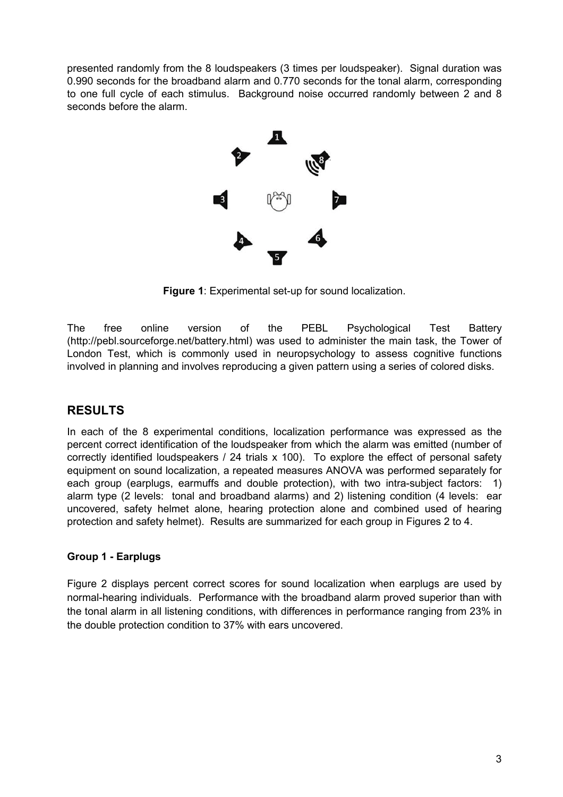presented randomly from the 8 loudspeakers (3 times per loudspeaker). Signal duration was 0.990 seconds for the broadband alarm and 0.770 seconds for the tonal alarm, corresponding to one full cycle of each stimulus. Background noise occurred randomly between 2 and 8 seconds before the alarm.



**Figure 1**: Experimental set-up for sound localization.

The free online version of the PEBL Psychological Test Battery (http://pebl.sourceforge.net/battery.html) was used to administer the main task, the Tower of London Test, which is commonly used in neuropsychology to assess cognitive functions involved in planning and involves reproducing a given pattern using a series of colored disks.

# **RESULTS**

In each of the 8 experimental conditions, localization performance was expressed as the percent correct identification of the loudspeaker from which the alarm was emitted (number of correctly identified loudspeakers / 24 trials x 100). To explore the effect of personal safety equipment on sound localization, a repeated measures ANOVA was performed separately for each group (earplugs, earmuffs and double protection), with two intra-subject factors: 1) alarm type (2 levels: tonal and broadband alarms) and 2) listening condition (4 levels: ear uncovered, safety helmet alone, hearing protection alone and combined used of hearing protection and safety helmet). Results are summarized for each group in Figures 2 to 4.

## **Group 1 - Earplugs**

Figure 2 displays percent correct scores for sound localization when earplugs are used by normal-hearing individuals. Performance with the broadband alarm proved superior than with the tonal alarm in all listening conditions, with differences in performance ranging from 23% in the double protection condition to 37% with ears uncovered.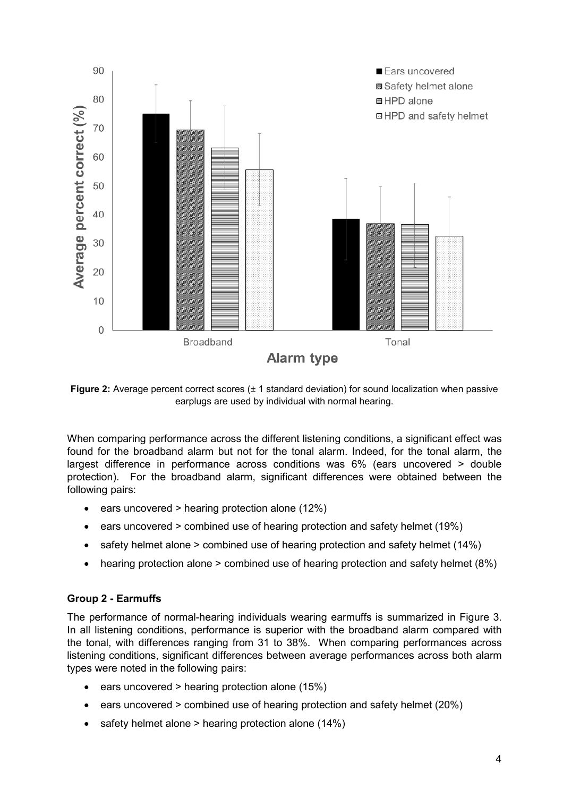

**Figure 2:** Average percent correct scores ( $\pm$  1 standard deviation) for sound localization when passive earplugs are used by individual with normal hearing.

When comparing performance across the different listening conditions, a significant effect was found for the broadband alarm but not for the tonal alarm. Indeed, for the tonal alarm, the largest difference in performance across conditions was 6% (ears uncovered > double protection). For the broadband alarm, significant differences were obtained between the following pairs:

- ears uncovered > hearing protection alone (12%)
- ears uncovered > combined use of hearing protection and safety helmet (19%)
- safety helmet alone > combined use of hearing protection and safety helmet (14%)
- hearing protection alone > combined use of hearing protection and safety helmet (8%)

#### **Group 2 - Earmuffs**

The performance of normal-hearing individuals wearing earmuffs is summarized in Figure 3. In all listening conditions, performance is superior with the broadband alarm compared with the tonal, with differences ranging from 31 to 38%. When comparing performances across listening conditions, significant differences between average performances across both alarm types were noted in the following pairs:

- ears uncovered > hearing protection alone (15%)
- ears uncovered > combined use of hearing protection and safety helmet (20%)
- safety helmet alone > hearing protection alone (14%)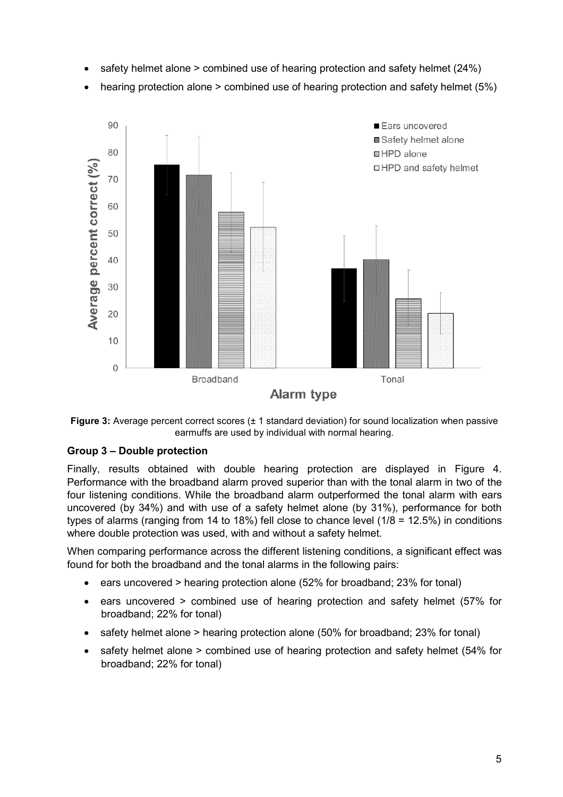- safety helmet alone > combined use of hearing protection and safety helmet (24%)
- hearing protection alone > combined use of hearing protection and safety helmet (5%)





#### **Group 3 – Double protection**

Finally, results obtained with double hearing protection are displayed in Figure 4. Performance with the broadband alarm proved superior than with the tonal alarm in two of the four listening conditions. While the broadband alarm outperformed the tonal alarm with ears uncovered (by 34%) and with use of a safety helmet alone (by 31%), performance for both types of alarms (ranging from 14 to 18%) fell close to chance level (1/8 = 12.5%) in conditions where double protection was used, with and without a safety helmet.

When comparing performance across the different listening conditions, a significant effect was found for both the broadband and the tonal alarms in the following pairs:

- ears uncovered > hearing protection alone (52% for broadband; 23% for tonal)
- ears uncovered > combined use of hearing protection and safety helmet (57% for broadband; 22% for tonal)
- safety helmet alone > hearing protection alone (50% for broadband; 23% for tonal)
- safety helmet alone > combined use of hearing protection and safety helmet (54% for broadband; 22% for tonal)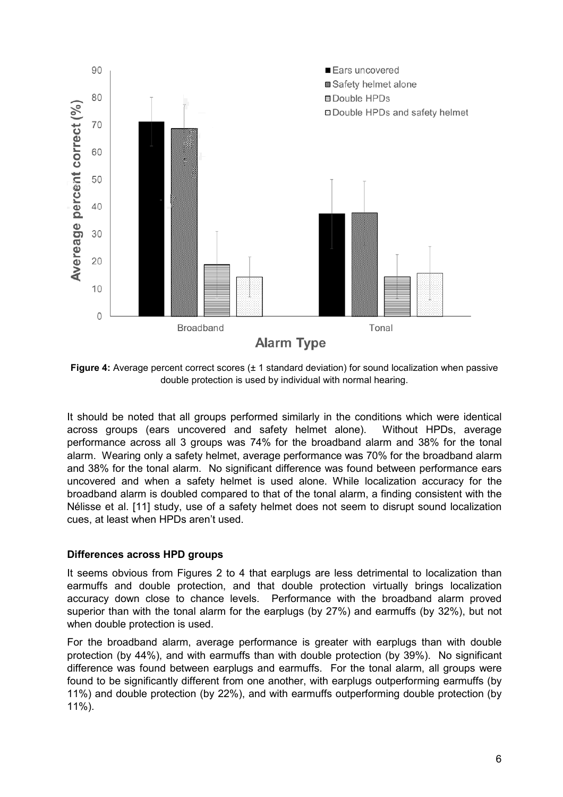

**Figure 4:** Average percent correct scores ( $\pm$  1 standard deviation) for sound localization when passive double protection is used by individual with normal hearing.

It should be noted that all groups performed similarly in the conditions which were identical across groups (ears uncovered and safety helmet alone). Without HPDs, average performance across all 3 groups was 74% for the broadband alarm and 38% for the tonal alarm. Wearing only a safety helmet, average performance was 70% for the broadband alarm and 38% for the tonal alarm. No significant difference was found between performance ears uncovered and when a safety helmet is used alone. While localization accuracy for the broadband alarm is doubled compared to that of the tonal alarm, a finding consistent with the Nélisse et al. [11] study, use of a safety helmet does not seem to disrupt sound localization cues, at least when HPDs aren't used.

#### **Differences across HPD groups**

It seems obvious from Figures 2 to 4 that earplugs are less detrimental to localization than earmuffs and double protection, and that double protection virtually brings localization accuracy down close to chance levels. Performance with the broadband alarm proved superior than with the tonal alarm for the earplugs (by 27%) and earmuffs (by 32%), but not when double protection is used.

For the broadband alarm, average performance is greater with earplugs than with double protection (by 44%), and with earmuffs than with double protection (by 39%). No significant difference was found between earplugs and earmuffs. For the tonal alarm, all groups were found to be significantly different from one another, with earplugs outperforming earmuffs (by 11%) and double protection (by 22%), and with earmuffs outperforming double protection (by 11%).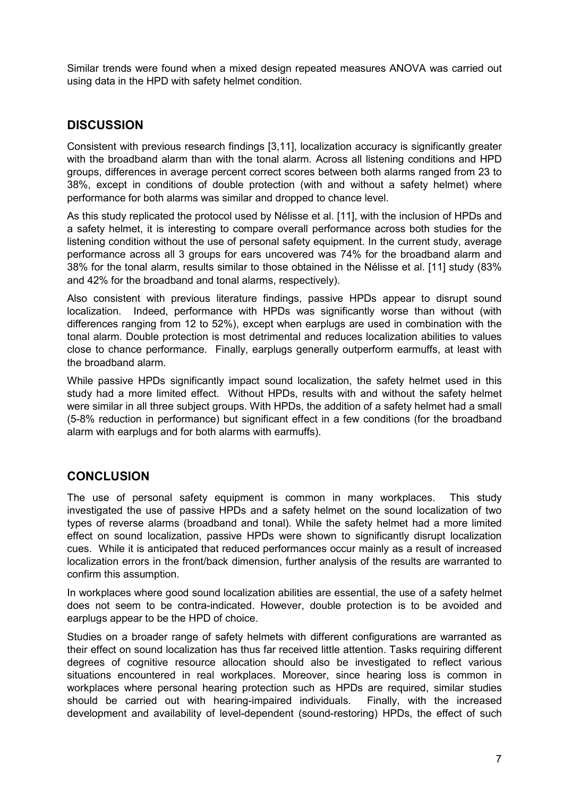Similar trends were found when a mixed design repeated measures ANOVA was carried out using data in the HPD with safety helmet condition.

## **DISCUSSION**

Consistent with previous research findings [3,11], localization accuracy is significantly greater with the broadband alarm than with the tonal alarm. Across all listening conditions and HPD groups, differences in average percent correct scores between both alarms ranged from 23 to 38%, except in conditions of double protection (with and without a safety helmet) where performance for both alarms was similar and dropped to chance level.

As this study replicated the protocol used by Nélisse et al. [11], with the inclusion of HPDs and a safety helmet, it is interesting to compare overall performance across both studies for the listening condition without the use of personal safety equipment. In the current study, average performance across all 3 groups for ears uncovered was 74% for the broadband alarm and 38% for the tonal alarm, results similar to those obtained in the Nélisse et al. [11] study (83% and 42% for the broadband and tonal alarms, respectively).

Also consistent with previous literature findings, passive HPDs appear to disrupt sound localization. Indeed, performance with HPDs was significantly worse than without (with differences ranging from 12 to 52%), except when earplugs are used in combination with the tonal alarm. Double protection is most detrimental and reduces localization abilities to values close to chance performance. Finally, earplugs generally outperform earmuffs, at least with the broadband alarm.

While passive HPDs significantly impact sound localization, the safety helmet used in this study had a more limited effect. Without HPDs, results with and without the safety helmet were similar in all three subject groups. With HPDs, the addition of a safety helmet had a small (5-8% reduction in performance) but significant effect in a few conditions (for the broadband alarm with earplugs and for both alarms with earmuffs).

# **CONCLUSION**

The use of personal safety equipment is common in many workplaces. This study investigated the use of passive HPDs and a safety helmet on the sound localization of two types of reverse alarms (broadband and tonal). While the safety helmet had a more limited effect on sound localization, passive HPDs were shown to significantly disrupt localization cues. While it is anticipated that reduced performances occur mainly as a result of increased localization errors in the front/back dimension, further analysis of the results are warranted to confirm this assumption.

In workplaces where good sound localization abilities are essential, the use of a safety helmet does not seem to be contra-indicated. However, double protection is to be avoided and earplugs appear to be the HPD of choice.

Studies on a broader range of safety helmets with different configurations are warranted as their effect on sound localization has thus far received little attention. Tasks requiring different degrees of cognitive resource allocation should also be investigated to reflect various situations encountered in real workplaces. Moreover, since hearing loss is common in workplaces where personal hearing protection such as HPDs are required, similar studies should be carried out with hearing-impaired individuals. Finally, with the increased development and availability of level-dependent (sound-restoring) HPDs, the effect of such